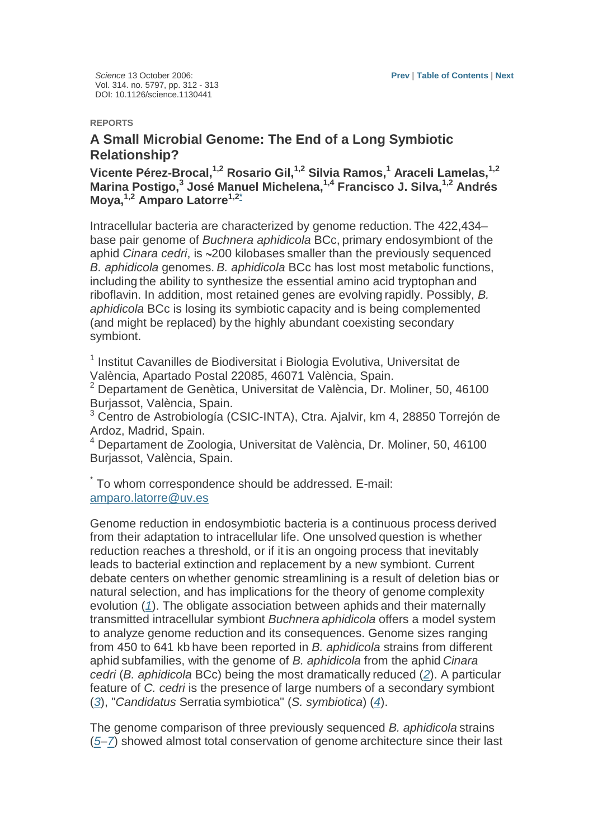Science 13 October 2006: Vol. 314. no. 5797, pp. 312 - 313 DOI: 10.1126/science.1130441

## **REPORTS**

## **A Small Microbial Genome: The End of a Long Symbiotic Relationship?**

**Vicente Pérez-Brocal,1,2 Rosario Gil,1,2 Silvia Ramos,<sup>1</sup> Araceli Lamelas,1,2 Marina Postigo,<sup>3</sup> José Manuel Michelena,1,4 Francisco J. Silva,1,2 Andrés Moya,1,2 Amparo Latorre1,2\***

Intracellular bacteria are characterized by genome reduction. The 422,434– base pair genome of Buchnera aphidicola BCc, primary endosymbiont of the aphid Cinara cedri, is ~200 kilobases smaller than the previously sequenced B. aphidicola genomes. B. aphidicola BCc has lost most metabolic functions, including the ability to synthesize the essential amino acid tryptophan and riboflavin. In addition, most retained genes are evolving rapidly. Possibly, B. aphidicola BCc is losing its symbiotic capacity and is being complemented (and might be replaced) by the highly abundant coexisting secondary symbiont.

<sup>1</sup> Institut Cavanilles de Biodiversitat i Biologia Evolutiva, Universitat de València, Apartado Postal 22085, 46071 València, Spain.

<sup>2</sup> Departament de Genètica, Universitat de València, Dr. Moliner, 50, 46100 Burjassot, València, Spain.

3 Centro de Astrobiología (CSIC-INTA), Ctra. Ajalvir, km 4, 28850 Torrejón de Ardoz, Madrid, Spain.

4 Departament de Zoologia, Universitat de València, Dr. Moliner, 50, 46100 Burjassot, València, Spain.

\* To whom correspondence should be addressed. E-mail: amparo.latorre@uv.es

Genome reduction in endosymbiotic bacteria is a continuous process derived from their adaptation to intracellular life. One unsolved question is whether reduction reaches a threshold, or if it is an ongoing process that inevitably leads to bacterial extinction and replacement by a new symbiont. Current debate centers on whether genomic streamlining is a result of deletion bias or natural selection, and has implications for the theory of genome complexity evolution (1). The obligate association between aphids and their maternally transmitted intracellular symbiont Buchnera aphidicola offers a model system to analyze genome reduction and its consequences. Genome sizes ranging from 450 to 641 kb have been reported in B. aphidicola strains from different aphid subfamilies, with the genome of B. aphidicola from the aphid Cinara cedri (B. aphidicola BCc) being the most dramatically reduced (2). A particular feature of C. cedri is the presence of large numbers of a secondary symbiont  $(3)$ , "Candidatus Serratia symbiotica" (S. symbiotica)  $(4)$ .

The genome comparison of three previously sequenced B. aphidicola strains (5–7) showed almost total conservation of genome architecture since their last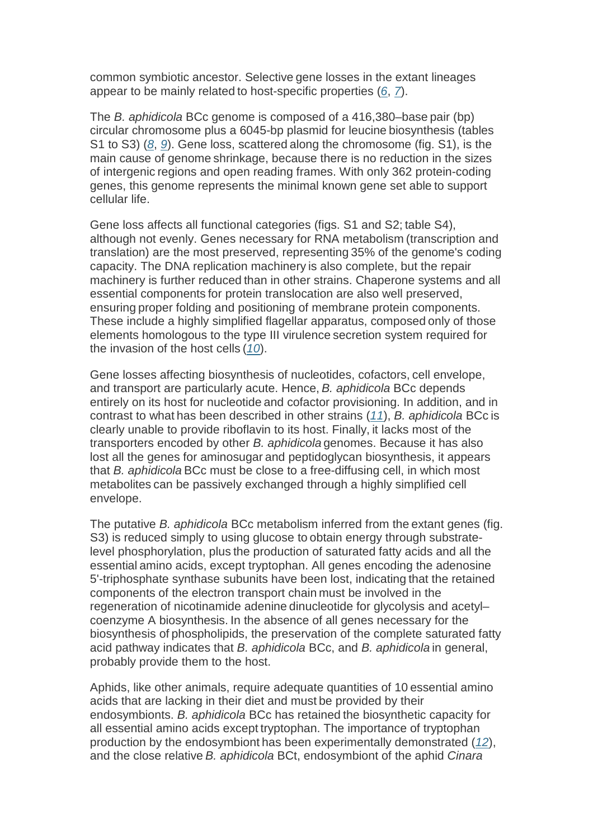common symbiotic ancestor. Selective gene losses in the extant lineages appear to be mainly related to host-specific properties (6, 7).

The B. aphidicola BCc genome is composed of a 416,380–base pair (bp) circular chromosome plus a 6045-bp plasmid for leucine biosynthesis (tables S1 to S3) (8, 9). Gene loss, scattered along the chromosome (fig. S1), is the main cause of genome shrinkage, because there is no reduction in the sizes of intergenic regions and open reading frames. With only 362 protein-coding genes, this genome represents the minimal known gene set able to support cellular life.

Gene loss affects all functional categories (figs. S1 and S2; table S4), although not evenly. Genes necessary for RNA metabolism (transcription and translation) are the most preserved, representing 35% of the genome's coding capacity. The DNA replication machinery is also complete, but the repair machinery is further reduced than in other strains. Chaperone systems and all essential components for protein translocation are also well preserved, ensuring proper folding and positioning of membrane protein components. These include a highly simplified flagellar apparatus, composed only of those elements homologous to the type III virulence secretion system required for the invasion of the host cells  $(10)$ .

Gene losses affecting biosynthesis of nucleotides, cofactors, cell envelope, and transport are particularly acute. Hence, B. aphidicola BCc depends entirely on its host for nucleotide and cofactor provisioning. In addition, and in contrast to what has been described in other strains (11), B. aphidicola BCc is clearly unable to provide riboflavin to its host. Finally, it lacks most of the transporters encoded by other B. aphidicola genomes. Because it has also lost all the genes for aminosugar and peptidoglycan biosynthesis, it appears that B. aphidicola BCc must be close to a free-diffusing cell, in which most metabolites can be passively exchanged through a highly simplified cell envelope.

The putative B. aphidicola BCc metabolism inferred from the extant genes (fig. S3) is reduced simply to using glucose to obtain energy through substratelevel phosphorylation, plus the production of saturated fatty acids and all the essential amino acids, except tryptophan. All genes encoding the adenosine 5'-triphosphate synthase subunits have been lost, indicating that the retained components of the electron transport chain must be involved in the regeneration of nicotinamide adenine dinucleotide for glycolysis and acetyl– coenzyme A biosynthesis. In the absence of all genes necessary for the biosynthesis of phospholipids, the preservation of the complete saturated fatty acid pathway indicates that B. aphidicola BCc, and B. aphidicola in general, probably provide them to the host.

Aphids, like other animals, require adequate quantities of 10 essential amino acids that are lacking in their diet and must be provided by their endosymbionts. B. aphidicola BCc has retained the biosynthetic capacity for all essential amino acids except tryptophan. The importance of tryptophan production by the endosymbiont has been experimentally demonstrated (12), and the close relative B. aphidicola BCt, endosymbiont of the aphid Cinara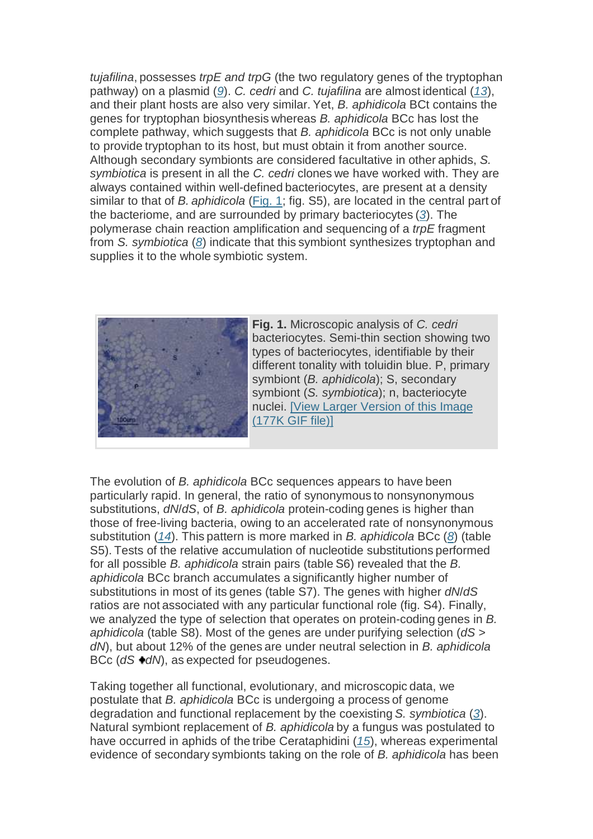tujafilina, possesses trpE and trpG (the two regulatory genes of the tryptophan pathway) on a plasmid (9). C. cedri and C. tujafilina are almost identical (13), and their plant hosts are also very similar. Yet, B. aphidicola BCt contains the genes for tryptophan biosynthesis whereas B. aphidicola BCc has lost the complete pathway, which suggests that B. aphidicola BCc is not only unable to provide tryptophan to its host, but must obtain it from another source. Although secondary symbionts are considered facultative in other aphids, S. symbiotica is present in all the C. cedri clones we have worked with. They are always contained within well-defined bacteriocytes, are present at a density similar to that of B. aphidicola (Fig. 1; fig. S5), are located in the central part of the bacteriome, and are surrounded by primary bacteriocytes (3). The polymerase chain reaction amplification and sequencing of a trpE fragment from S. symbiotica (8) indicate that this symbiont synthesizes tryptophan and supplies it to the whole symbiotic system.



**Fig. 1.** Microscopic analysis of C. cedri bacteriocytes. Semi-thin section showing two types of bacteriocytes, identifiable by their different tonality with toluidin blue. P. primary symbiont (B. aphidicola); S, secondary symbiont (S. symbiotica); n, bacteriocyte nuclei. [View Larger Version of this Image (177K GIF file)]

The evolution of B. aphidicola BCc sequences appears to have been particularly rapid. In general, the ratio of synonymous to nonsynonymous substitutions,  $dN/dS$ , of B. aphidicola protein-coding genes is higher than those of free-living bacteria, owing to an accelerated rate of nonsynonymous substitution (14). This pattern is more marked in B. aphidicola BCc (8) (table S5). Tests of the relative accumulation of nucleotide substitutions performed for all possible B. aphidicola strain pairs (table S6) revealed that the B. aphidicola BCc branch accumulates a significantly higher number of substitutions in most of its genes (table S7). The genes with higher  $dN/dS$ ratios are not associated with any particular functional role (fig. S4). Finally, we analyzed the type of selection that operates on protein-coding genes in B. aphidicola (table S8). Most of the genes are under purifying selection (dS > dN), but about 12% of the genes are under neutral selection in B. aphidicola BCc ( $dS \cdot dN$ ), as expected for pseudogenes.

Taking together all functional, evolutionary, and microscopic data, we postulate that B. aphidicola BCc is undergoing a process of genome degradation and functional replacement by the coexisting S. symbiotica  $(3)$ . Natural symbiont replacement of B. aphidicola by a fungus was postulated to have occurred in aphids of the tribe Cerataphidini (15), whereas experimental evidence of secondary symbionts taking on the role of B. aphidicola has been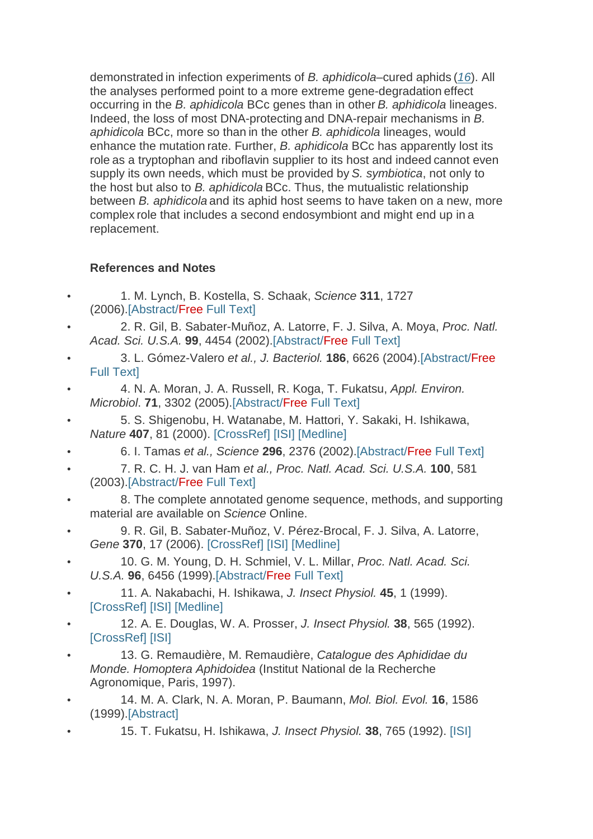demonstrated in infection experiments of B. aphidicola–cured aphids (16). All the analyses performed point to a more extreme gene-degradation effect occurring in the B. aphidicola BCc genes than in other B. aphidicola lineages. Indeed, the loss of most DNA-protecting and DNA-repair mechanisms in B. aphidicola BCc, more so than in the other B. aphidicola lineages, would enhance the mutation rate. Further, B. aphidicola BCc has apparently lost its role as a tryptophan and riboflavin supplier to its host and indeed cannot even supply its own needs, which must be provided by S. symbiotica, not only to the host but also to B. aphidicola BCc. Thus, the mutualistic relationship between B. aphidicola and its aphid host seems to have taken on a new, more complex role that includes a second endosymbiont and might end up in a replacement.

## **References and Notes**

- 1. M. Lynch, B. Kostella, S. Schaak, Science **311**, 1727 (2006).[Abstract/Free Full Text]
- 2. R. Gil, B. Sabater-Muñoz, A. Latorre, F. J. Silva, A. Moya, Proc. Natl. Acad. Sci. U.S.A. **99**, 4454 (2002).[Abstract/Free Full Text]
- 3. L. Gómez-Valero et al., J. Bacteriol. **186**, 6626 (2004).[Abstract/Free Full Text]
- 4. N. A. Moran, J. A. Russell, R. Koga, T. Fukatsu, Appl. Environ. Microbiol. **71**, 3302 (2005).[Abstract/Free Full Text]
- 5. S. Shigenobu, H. Watanabe, M. Hattori, Y. Sakaki, H. Ishikawa, Nature **407**, 81 (2000). [CrossRef] [ISI] [Medline]
- 6. I. Tamas et al., Science **296**, 2376 (2002).[Abstract/Free Full Text]
- 7. R. C. H. J. van Ham et al., Proc. Natl. Acad. Sci. U.S.A. **100**, 581 (2003).[Abstract/Free Full Text]
- 8. The complete annotated genome sequence, methods, and supporting material are available on Science Online.
- 9. R. Gil, B. Sabater-Muñoz, V. Pérez-Brocal, F. J. Silva, A. Latorre, Gene **370**, 17 (2006). [CrossRef] [ISI] [Medline]
- 10. G. M. Young, D. H. Schmiel, V. L. Millar, Proc. Natl. Acad. Sci. U.S.A. **96**, 6456 (1999).[Abstract/Free Full Text]
- 11. A. Nakabachi, H. Ishikawa, J. Insect Physiol. **45**, 1 (1999). [CrossRef] [ISI] [Medline]
- 12. A. E. Douglas, W. A. Prosser, J. Insect Physiol. **38**, 565 (1992). [CrossRef] [ISI]
- 13. G. Remaudière, M. Remaudière, Catalogue des Aphididae du Monde. Homoptera Aphidoidea (Institut National de la Recherche Agronomique, Paris, 1997).
- 14. M. A. Clark, N. A. Moran, P. Baumann, Mol. Biol. Evol. **16**, 1586 (1999).[Abstract]
- 15. T. Fukatsu, H. Ishikawa, J. Insect Physiol. **38**, 765 (1992). [ISI]